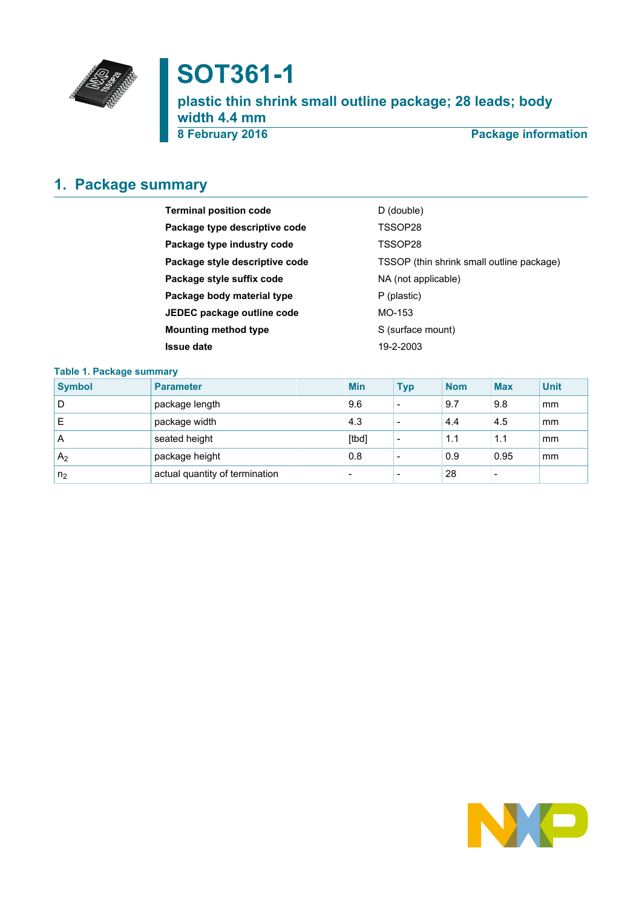

# **SOT361-1**

**plastic thin shrink small outline package; 28 leads; body width 4.4 mm 8 February 2016 Package information**

# <span id="page-0-0"></span>**1. Package summary**

| D (double)                                |
|-------------------------------------------|
| TSSOP28                                   |
| TSSOP28                                   |
| TSSOP (thin shrink small outline package) |
| NA (not applicable)                       |
| P (plastic)                               |
| MO-153                                    |
| S (surface mount)                         |
| 19-2-2003                                 |
|                                           |

### **Table 1. Package summary**

| <b>Symbol</b>  | <b>Parameter</b>               | <b>Min</b>               | <b>Typ</b>               | <b>Nom</b> | <b>Max</b> | <b>Unit</b> |
|----------------|--------------------------------|--------------------------|--------------------------|------------|------------|-------------|
| D              | package length                 | 9.6                      | $\overline{\phantom{0}}$ | 9.7        | 9.8        | mm          |
|                | package width                  | 4.3                      | $\overline{\phantom{0}}$ | 4.4        | 4.5        | mm          |
| A              | seated height                  | [tbd]                    | $\overline{\phantom{0}}$ | 1.1        | 1.1        | mm          |
| A <sub>2</sub> | package height                 | 0.8                      |                          | 0.9        | 0.95       | mm          |
| n <sub>2</sub> | actual quantity of termination | $\overline{\phantom{0}}$ |                          | 28         |            |             |

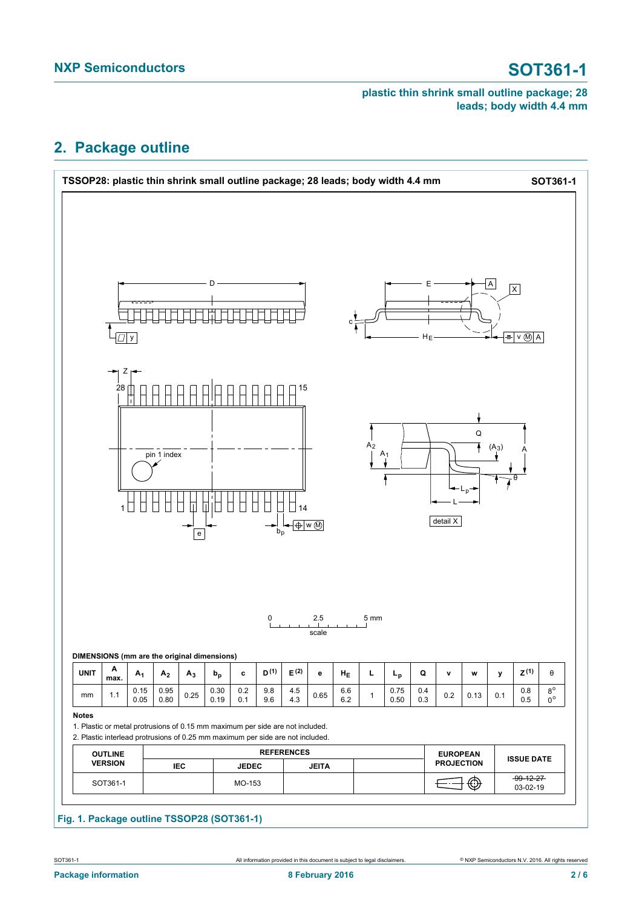# <span id="page-1-0"></span>**2. Package outline**



### **Fig. 1. Package outline TSSOP28 (SOT361-1)**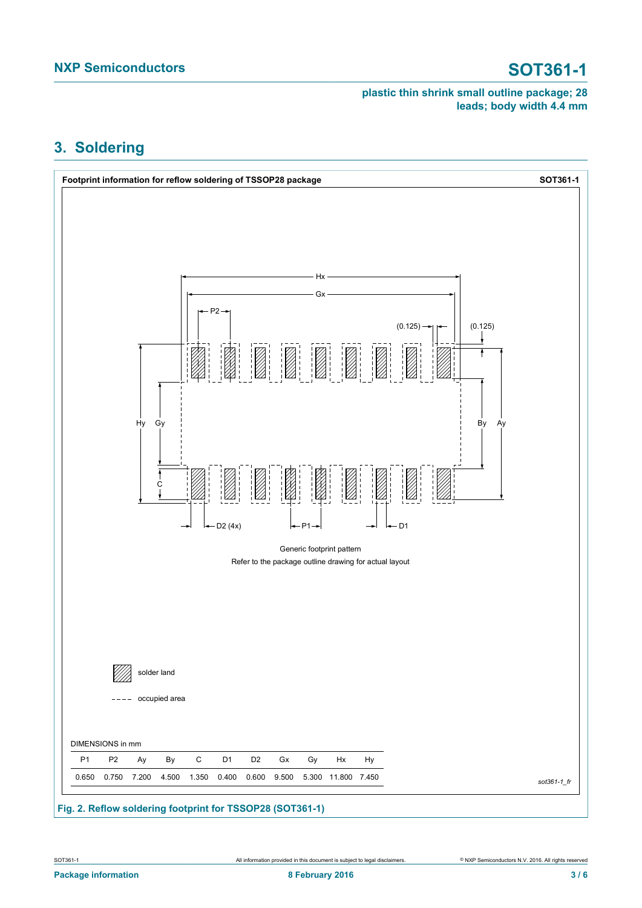# <span id="page-2-0"></span>**3. Soldering**



### **Fig. 2. Reflow soldering footprint for TSSOP28 (SOT361-1)**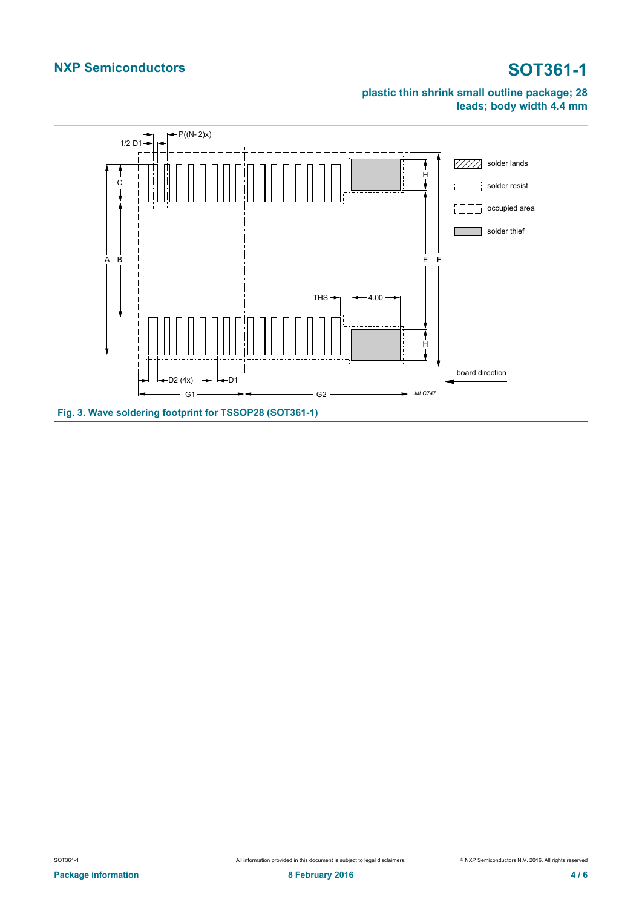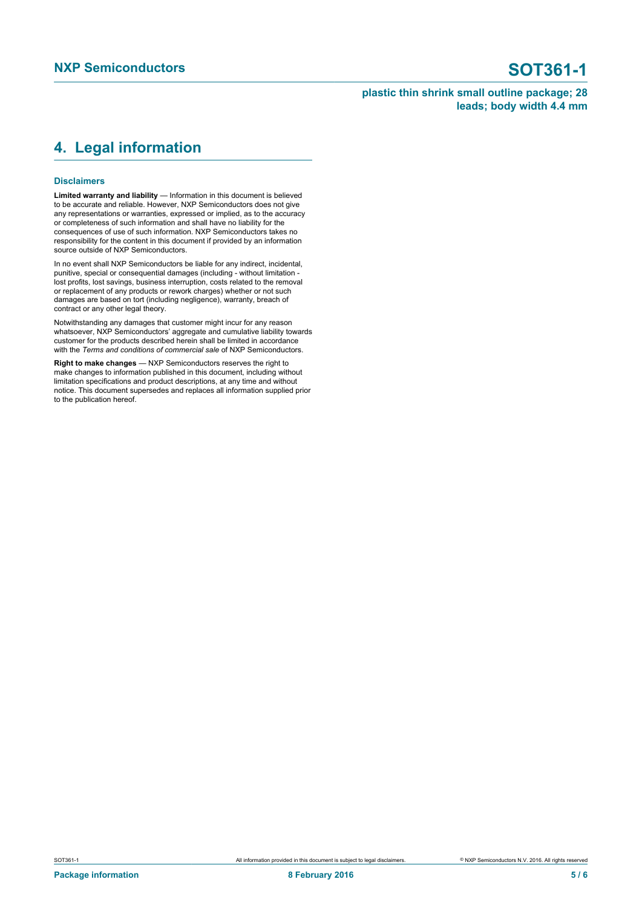## <span id="page-4-0"></span>**4. Legal information**

#### **Disclaimers**

**Limited warranty and liability** — Information in this document is believed to be accurate and reliable. However, NXP Semiconductors does not give any representations or warranties, expressed or implied, as to the accuracy or completeness of such information and shall have no liability for the consequences of use of such information. NXP Semiconductors takes no responsibility for the content in this document if provided by an information source outside of NXP Semiconductors.

In no event shall NXP Semiconductors be liable for any indirect, incidental, punitive, special or consequential damages (including - without limitation lost profits, lost savings, business interruption, costs related to the removal or replacement of any products or rework charges) whether or not such damages are based on tort (including negligence), warranty, breach of contract or any other legal theory.

Notwithstanding any damages that customer might incur for any reason whatsoever, NXP Semiconductors' aggregate and cumulative liability towards customer for the products described herein shall be limited in accordance with the *Terms and conditions of commercial sale* of NXP Semiconductors.

**Right to make changes** — NXP Semiconductors reserves the right to make changes to information published in this document, including without limitation specifications and product descriptions, at any time and without notice. This document supersedes and replaces all information supplied prior to the publication hereof.